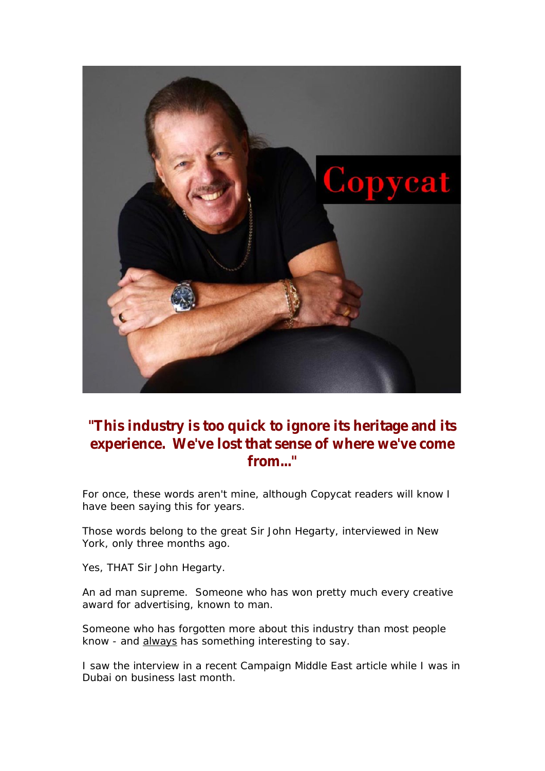

## **"This industry is too quick to ignore its heritage and its experience. We've lost that sense of where we've come from..."**

For once, these words aren't mine, although Copycat readers will know I have been saying this for years.

Those words belong to the great Sir John Hegarty, interviewed in New York, only three months ago.

Yes, THAT Sir John Hegarty.

An ad man supreme. Someone who has won pretty much every creative award for advertising, known to man.

Someone who has forgotten more about this industry than most people know - and always has something interesting to say.

I saw the interview in a recent *Campaign Middle East* article while I was in Dubai on business last month.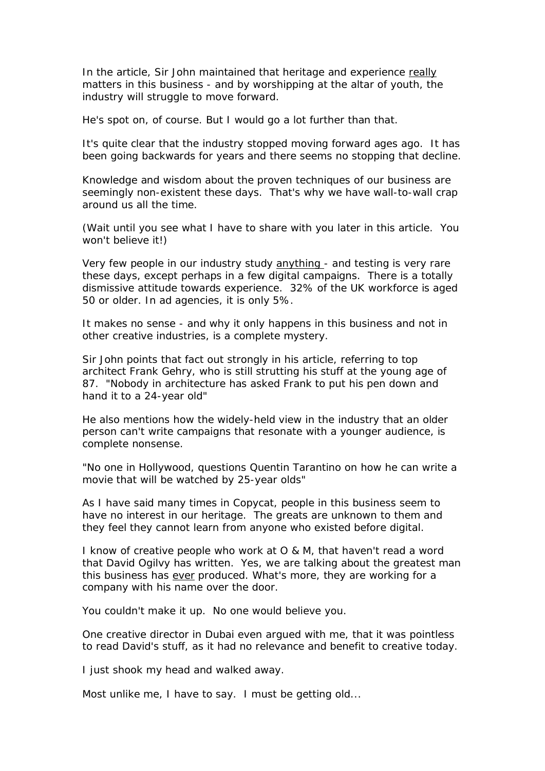In the article, Sir John maintained that heritage and experience really matters in this business - and by worshipping at the altar of youth, the industry will struggle to move forward.

He's spot on, of course. But I would go a lot further than that.

It's quite clear that the industry stopped moving forward ages ago. It has been going backwards for years and there seems no stopping that decline.

Knowledge and wisdom about the proven techniques of our business are seemingly non-existent these days. That's why we have wall-to-wall crap around us all the time.

(Wait until you see what I have to share with you later in this article. You won't believe it!)

Very few people in our industry study anything - and testing is very rare these days, except perhaps in a few digital campaigns. There is a totally dismissive attitude towards experience. 32% of the UK workforce is aged 50 or older. In ad agencies, it is only 5%.

It makes no sense - and why it only happens in this business and not in other creative industries, is a complete mystery.

Sir John points that fact out strongly in his article, referring to top architect Frank Gehry, who is still strutting his stuff at the young age of 87. "Nobody in architecture has asked Frank to put his pen down and hand it to a 24-year old"

He also mentions how the widely-held view in the industry that an older person can't write campaigns that resonate with a younger audience, is complete nonsense.

"No one in Hollywood, questions Quentin Tarantino on how he can write a movie that will be watched by 25-year olds"

As I have said many times in Copycat, people in this business seem to have no interest in our heritage. The greats are unknown to them and they feel they cannot learn from anyone who existed before digital.

I know of creative people who work at O & M, that haven't read a word that David Ogilvy has written. Yes, we are talking about the greatest man this business has ever produced. What's more, they are working for a company with his name over the door.

You couldn't make it up. No one would believe you.

One creative director in Dubai even argued with me, that it was pointless to read David's stuff, as it had no relevance and benefit to creative today.

I just shook my head and walked away.

Most unlike me, I have to say. I must be getting old...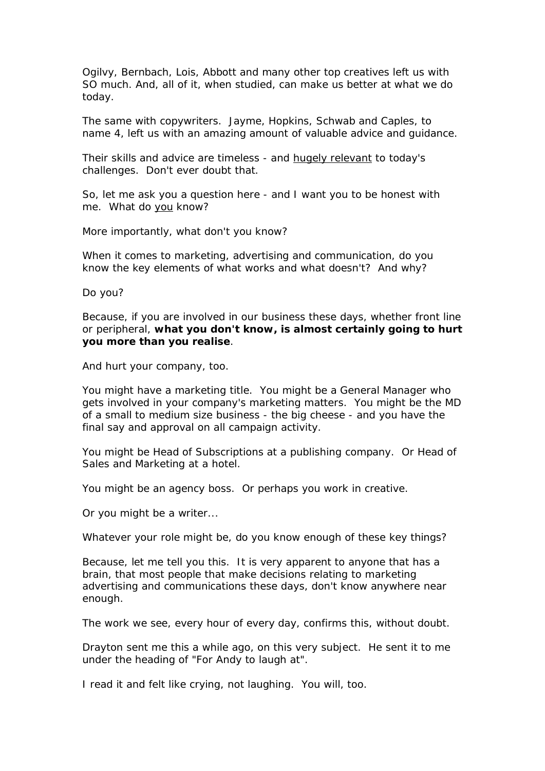Ogilvy, Bernbach, Lois, Abbott and many other top creatives left us with SO much. And, all of it, when studied, can make us better at what we do today.

The same with copywriters. Jayme, Hopkins, Schwab and Caples, to name 4, left us with an amazing amount of valuable advice and guidance.

Their skills and advice are timeless - and hugely relevant to today's challenges. Don't ever doubt that.

So, let me ask you a question here - and I want you to be honest with me. What do you know?

More importantly, what don't you know?

When it comes to marketing, advertising and communication, do you know the key elements of what works and what doesn't? And why?

Do you?

Because, if you are involved in our business these days, whether front line or peripheral, **what you don't know, is almost certainly going to hurt you more than you realise**.

And hurt your company, too.

You might have a marketing title. You might be a General Manager who gets involved in your company's marketing matters. You might be the MD of a small to medium size business - the big cheese - and you have the final say and approval on all campaign activity.

You might be Head of Subscriptions at a publishing company. Or Head of Sales and Marketing at a hotel.

You might be an agency boss. Or perhaps you work in creative.

Or you might be a writer...

Whatever your role might be, do you know *enough* of these key things?

Because, let me tell you this. It is very apparent to anyone that has a brain, that most people that make decisions relating to marketing advertising and communications these days, don't know anywhere near enough.

The work we see, every hour of every day, confirms this, without doubt.

Drayton sent me this a while ago, on this very subject. He sent it to me under the heading of "For Andy to laugh at".

I read it and felt like crying, not laughing. You will, too.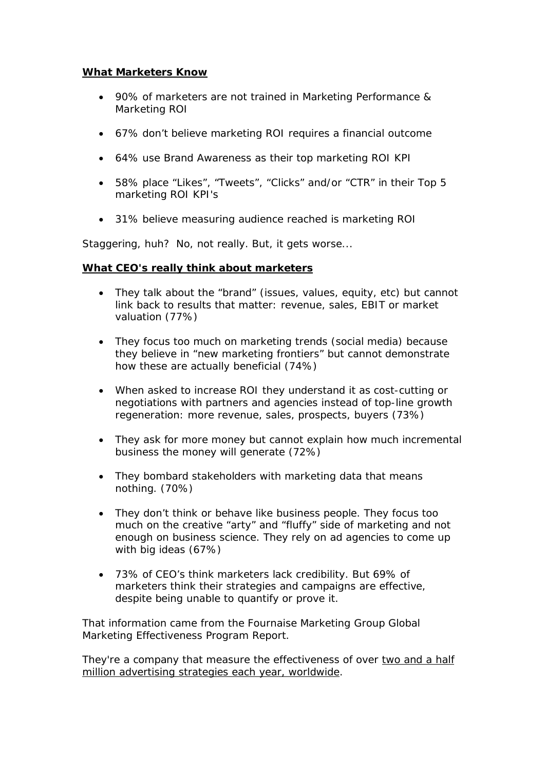### **What Marketers Know**

- 90% of marketers are not trained in Marketing Performance & Marketing ROI
- 67% don't believe marketing ROI requires a financial outcome
- 64% use Brand Awareness as their top marketing ROI KPI
- 58% place "Likes", "Tweets", "Clicks" and/or "CTR" in their Top 5 marketing ROI KPI's
- 31% believe measuring audience reached is marketing ROI

Staggering, huh? No, not really. But, it gets worse...

### **What CEO's really think about marketers**

- They talk about the "brand" (issues, values, equity, etc) but cannot link back to results that matter: revenue, sales, EBIT or market valuation (77%)
- They focus too much on marketing trends (social media) because they believe in "new marketing frontiers" but cannot demonstrate how these are actually beneficial (74%)
- When asked to increase ROI they understand it as cost-cutting or negotiations with partners and agencies instead of top-line growth regeneration: more revenue, sales, prospects, buyers (73%)
- They ask for more money but cannot explain how much incremental business the money will generate (72%)
- They bombard stakeholders with marketing data that means nothing. (70%)
- They don't think or behave like business people. They focus too much on the creative "arty" and "fluffy" side of marketing and not enough on business science. They rely on ad agencies to come up with big ideas (67%)
- ∑ 73% of CEO's think marketers lack credibility. But 69% of marketers think their strategies and campaigns are effective, despite being unable to quantify or prove it.

That information came from the *Fournaise Marketing Group Global Marketing Effectiveness Program Report*.

They're a company that measure the effectiveness of over two and a half million advertising strategies each year, worldwide.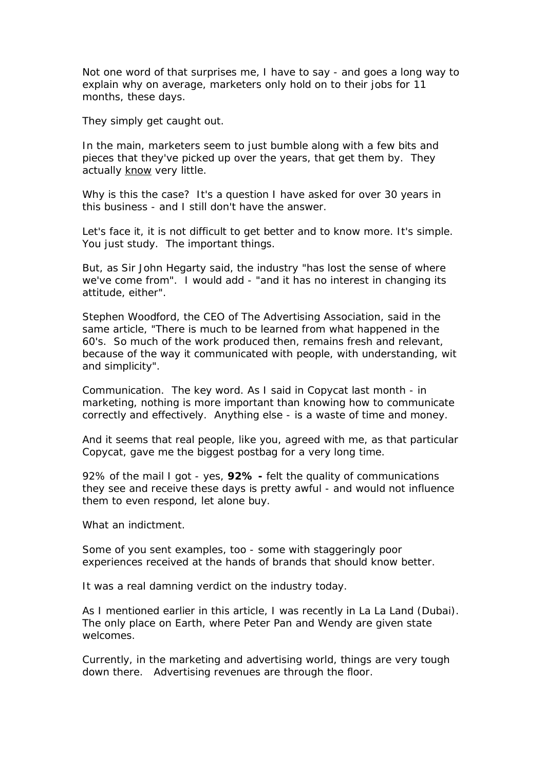Not one word of that surprises me, I have to say - and goes a long way to explain why on average, marketers only hold on to their jobs for 11 months, these days.

They simply get caught out.

In the main, marketers seem to just bumble along with a few bits and pieces that they've picked up over the years, that get them by. They actually know very little.

Why is this the case? It's a question I have asked for over 30 years in this business - and I still don't have the answer.

Let's face it, it is not difficult to get better and to know more. It's simple. You just *study*. The *important* things.

But, as Sir John Hegarty said, the industry "has lost the sense of where we've come from". I would add - "and it has no interest in changing its attitude, either".

Stephen Woodford, the CEO of The Advertising Association, said in the same article, "There is much to be learned from what happened in the 60's. So much of the work produced then, remains fresh and relevant, because of the way it communicated with people, with understanding, wit and simplicity".

Communication. The key word. As I said in Copycat last month - in marketing, nothing is more important than knowing how to communicate correctly and effectively. Anything else - is a waste of time and money.

And it seems that real people, like you, agreed with me, as that particular Copycat, gave me the biggest postbag for a very long time.

92% of the mail I got - yes, **92% -** felt the quality of communications they see and receive these days is pretty awful - and would not influence them to even respond, let alone buy.

What an indictment.

Some of you sent examples, too - some with staggeringly poor experiences received at the hands of brands that should know better.

It was a real damning verdict on the industry today.

As I mentioned earlier in this article, I was recently in La La Land (Dubai). The only place on Earth, where Peter Pan and Wendy are given state welcomes.

Currently, in the marketing and advertising world, things are very tough down there. Advertising revenues are through the floor.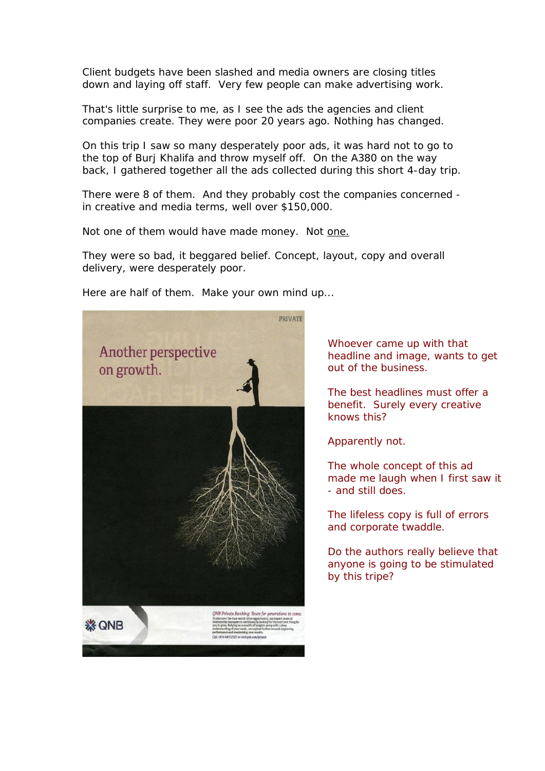Client budgets have been slashed and media owners are closing titles down and laying off staff. Very few people can make advertising work.

That's little surprise to me, as I see the ads the agencies and client companies create. They were poor 20 years ago. Nothing has changed.

On this trip I saw so many desperately poor ads, it was hard not to go to the top of Burj Khalifa and throw myself off. On the A380 on the way back, I gathered together all the ads collected during this short 4-day trip.

There were 8 of them. And they probably cost the companies concerned in creative and media terms, well over \$150,000.

Not one of them would have made money. Not one.

They were so bad, it beggared belief. Concept, layout, copy and overall delivery, were desperately poor.

Here are half of them. Make your own mind up...



Whoever came up with that headline and image, wants to get out of the business.

The best headlines must offer a benefit. Surely every creative knows this?

Apparently not.

The whole concept of this ad made me laugh when I first saw it - and still does.

The lifeless copy is full of errors and corporate twaddle.

Do the authors really believe that anyone is going to be stimulated by this tripe?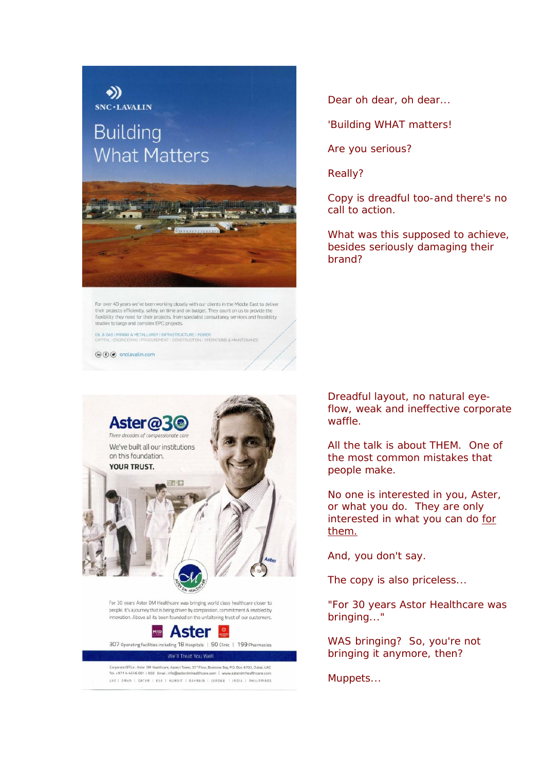# $SNC \cdot LAVALIN$ **Building What Matters**

 $\rightarrow)$ 



For over 40 years we've been working closely with our clients in the Middle East to deliver their projects efficiently, safely, on time and on budget. They count on us to provide the flexibility they need for their projects, from specialist consultancy services and feasibility studies to large and complex EPC projects.

OIL & GAS I MINING & METALLURGY I INFRASTRUCTURE I POWER<br>CAPITAL I ENGINEERING I PROCUREMENT I CONSTRUCTION I OPERATIONS & MAINTENANCE

 $\textcircled{h} \odot \textcircled{g}$  snclavalin.com



Corporate Office : Aster DM Healthcare, Aspect Tower, 33<sup>or</sup> Floor, Business Bay, P.O. Box: 8703, Dubai, UAE Tel. +971 4 4546 001 / 002 Email: info@asterdmhealthcare.com | w UAET OMAN | QATAR | KSA | KUWAIT | BAHRAIN | JORDAN | INDIA | PHILIPPINES Dear oh dear, oh dear...

'Building WHAT matters!

Are you serious?

Really?

Copy is dreadful too-and there's no call to action.

What was this supposed to achieve, besides seriously damaging their brand?

Dreadful layout, no natural eyeflow, weak and ineffective corporate waffle.

All the talk is about THEM. One of the most common mistakes that people make.

No one is interested in you, Aster, or what you do. They are only interested in what you can do for them.

And, you don't say.

The copy is also priceless...

"For 30 years Astor Healthcare was bringing..."

WAS bringing? So, you're not bringing it anymore, then?

Muppets...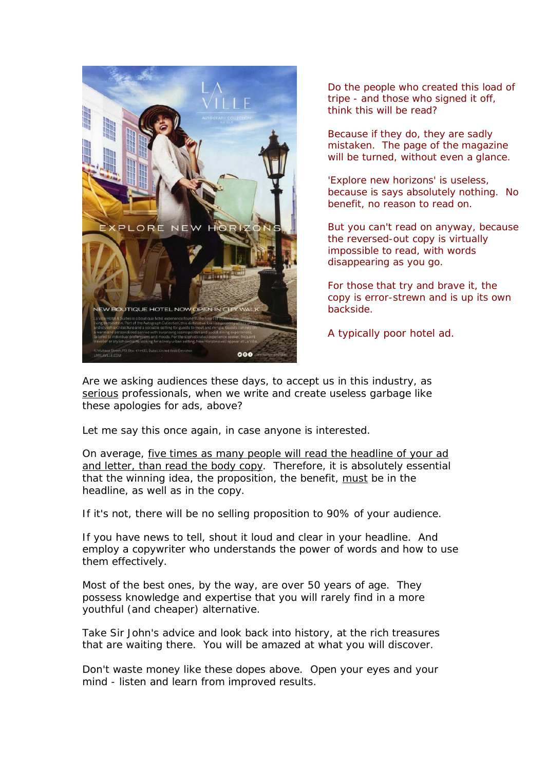

Do the people who created this load of tripe - and those who signed it off, think this will be read?

Because if they do, they are sadly mistaken. The page of the magazine will be turned, without even a glance.

'Explore new horizons' is useless, because is says absolutely *nothing*. No benefit, no reason to read on.

But you can't read on anyway, because the reversed-out copy is virtually impossible to read, with words disappearing as you go.

For those that try and brave it, the copy is error-strewn and is up its own backside.

A typically poor hotel ad.

Are we asking audiences these days, to accept us in this industry, as serious professionals, when we write and create useless garbage like these apologies for ads, above?

Let me say this once again, in case anyone is interested.

On average, five times as many people will read the headline of your ad and letter, than read the body copy. Therefore, it is absolutely essential that the winning idea, the proposition, the benefit, must be in the headline, as well as in the copy.

If it's not, there will be no selling proposition to 90% of your audience.

If you have news to tell, shout it loud and clear in your headline. And employ a copywriter who understands the power of words and how to use them *effectively*.

Most of the best ones, by the way, are over 50 years of age. They possess knowledge and expertise that you will rarely find in a more youthful (and cheaper) alternative.

Take Sir John's advice and look back into history, at the rich treasures that are waiting there. You will be amazed at what you will discover.

Don't waste money like these dopes above. Open your eyes and your mind - listen and learn from improved results.